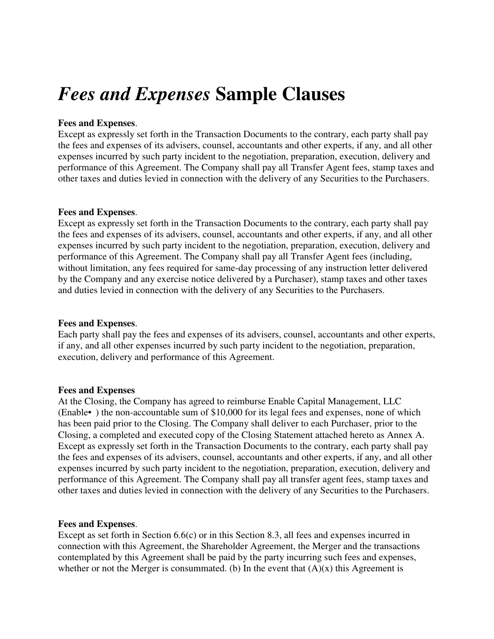# *Fees and Expenses* **Sample Clauses**

### **Fees and Expenses**.

Except as expressly set forth in the Transaction Documents to the contrary, each party shall pay the fees and expenses of its advisers, counsel, accountants and other experts, if any, and all other expenses incurred by such party incident to the negotiation, preparation, execution, delivery and performance of this Agreement. The Company shall pay all Transfer Agent fees, stamp taxes and other taxes and duties levied in connection with the delivery of any Securities to the Purchasers.

#### **Fees and Expenses**.

Except as expressly set forth in the Transaction Documents to the contrary, each party shall pay the fees and expenses of its advisers, counsel, accountants and other experts, if any, and all other expenses incurred by such party incident to the negotiation, preparation, execution, delivery and performance of this Agreement. The Company shall pay all Transfer Agent fees (including, without limitation, any fees required for same-day processing of any instruction letter delivered by the Company and any exercise notice delivered by a Purchaser), stamp taxes and other taxes and duties levied in connection with the delivery of any Securities to the Purchasers.

## **Fees and Expenses**.

Each party shall pay the fees and expenses of its advisers, counsel, accountants and other experts, if any, and all other expenses incurred by such party incident to the negotiation, preparation, execution, delivery and performance of this Agreement.

#### **Fees and Expenses**

At the Closing, the Company has agreed to reimburse Enable Capital Management, LLC (Enable• ) the non-accountable sum of \$10,000 for its legal fees and expenses, none of which has been paid prior to the Closing. The Company shall deliver to each Purchaser, prior to the Closing, a completed and executed copy of the Closing Statement attached hereto as Annex A. Except as expressly set forth in the Transaction Documents to the contrary, each party shall pay the fees and expenses of its advisers, counsel, accountants and other experts, if any, and all other expenses incurred by such party incident to the negotiation, preparation, execution, delivery and performance of this Agreement. The Company shall pay all transfer agent fees, stamp taxes and other taxes and duties levied in connection with the delivery of any Securities to the Purchasers.

## **Fees and Expenses**.

Except as set forth in Section 6.6(c) or in this Section 8.3, all fees and expenses incurred in connection with this Agreement, the Shareholder Agreement, the Merger and the transactions contemplated by this Agreement shall be paid by the party incurring such fees and expenses, whether or not the Merger is consummated. (b) In the event that  $(A)(x)$  this Agreement is